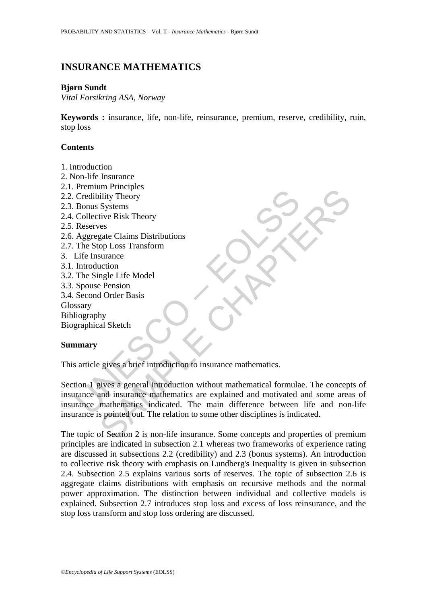# **INSURANCE MATHEMATICS**

### **Bjørn Sundt**

*Vital Forsikring ASA, Norway* 

**Keywords :** insurance, life, non-life, reinsurance, premium, reserve, credibility, ruin, stop loss

# **Contents**

- 1. Introduction
- 2. Non-life Insurance
- 2.1. Premium Principles
- 2.2. Credibility Theory
- 2.3. Bonus Systems
- 2.4. Collective Risk Theory
- 2.5. Reserves
- 2.6. Aggregate Claims Distributions
- 2.7. The Stop Loss Transform
- 3. Life Insurance
- 3.1. Introduction
- 3.2. The Single Life Model
- 3.3. Spouse Pension
- 3.4. Second Order Basis
- Glossary
- Bibliography

Biographical Sketch

### **Summary**

This article gives a brief introduction to insurance mathematics.

Credibility Theory<br>
Credibility Theory<br>
Bonus Systems<br>
Collective Risk Theory<br>
Reserves<br>
Reserves<br>
The Stop Loss Transform<br>
Life Insurance<br>
Life Insurance<br>
Life Insurance<br>
Introduction<br>
Spouse Pension<br>
Second Order Basis<br> met the<br>exist Theory<br>Systems<br>stive Risk Theory<br>Systems<br>out<br>and Exist Theory<br>stands of D.Loss Transform<br>and gale Life Model<br>and in Order Basis<br>ply<br>al Sketch<br>exists a brief introduction to insurance mathematics.<br>Fives a gene Section 1 gives a general introduction without mathematical formulae. The concepts of insurance and insurance mathematics are explained and motivated and some areas of insurance mathematics indicated. The main difference between life and non-life insurance is pointed out. The relation to some other disciplines is indicated.

The topic of Section 2 is non-life insurance. Some concepts and properties of premium principles are indicated in subsection 2.1 whereas two frameworks of experience rating are discussed in subsections 2.2 (credibility) and 2.3 (bonus systems). An introduction to collective risk theory with emphasis on Lundberg's Inequality is given in subsection 2.4. Subsection 2.5 explains various sorts of reserves. The topic of subsection 2.6 is aggregate claims distributions with emphasis on recursive methods and the normal power approximation. The distinction between individual and collective models is explained. Subsection 2.7 introduces stop loss and excess of loss reinsurance, and the stop loss transform and stop loss ordering are discussed.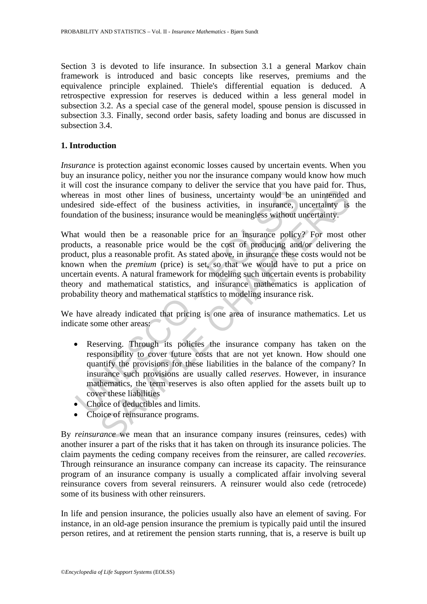Section 3 is devoted to life insurance. In subsection 3.1 a general Markov chain framework is introduced and basic concepts like reserves, premiums and the equivalence principle explained. Thiele's differential equation is deduced. A retrospective expression for reserves is deduced within a less general model in subsection 3.2. As a special case of the general model, spouse pension is discussed in subsection 3.3. Finally, second order basis, safety loading and bonus are discussed in subsection 3.4

# **1. Introduction**

*Insurance* is protection against economic losses caused by uncertain events. When you buy an insurance policy, neither you nor the insurance company would know how much it will cost the insurance company to deliver the service that you have paid for. Thus, whereas in most other lines of business, uncertainty would be an unintended and undesired side-effect of the business activities, in insurance, uncertainty is the foundation of the business; insurance would be meaningless without uncertainty.

reas in most other lines of business, uncertainty would be a<br>sired side-effect of the business activities, in insurance, undation of the business; insurance would be meaningless without u<br>at would then be a reasonable pric and more to the business, uncertainty would be an unintended<br>ide-effect of the business ancertainty would be an unintended<br>side-effect of the business activities, in insurance, uncertainty is<br>of the business; insurance wou What would then be a reasonable price for an insurance policy? For most other products, a reasonable price would be the cost of producing and/or delivering the product, plus a reasonable profit. As stated above, in insurance these costs would not be known when the *premium* (price) is set, so that we would have to put a price on uncertain events. A natural framework for modeling such uncertain events is probability theory and mathematical statistics, and insurance mathematics is application of probability theory and mathematical statistics to modeling insurance risk.

We have already indicated that pricing is one area of insurance mathematics. Let us indicate some other areas:

- Reserving. Through its policies the insurance company has taken on the responsibility to cover future costs that are not yet known. How should one quantify the provisions for these liabilities in the balance of the company? In insurance such provisions are usually called *reserves*. However, in insurance mathematics, the term reserves is also often applied for the assets built up to cover these liabilities
- Choice of deductibles and limits.
- Choice of reinsurance programs.

By *reinsurance* we mean that an insurance company insures (reinsures, cedes) with another insurer a part of the risks that it has taken on through its insurance policies. The claim payments the ceding company receives from the reinsurer, are called *recoveries*. Through reinsurance an insurance company can increase its capacity. The reinsurance program of an insurance company is usually a complicated affair involving several reinsurance covers from several reinsurers. A reinsurer would also cede (retrocede) some of its business with other reinsurers.

In life and pension insurance, the policies usually also have an element of saving. For instance, in an old-age pension insurance the premium is typically paid until the insured person retires, and at retirement the pension starts running, that is, a reserve is built up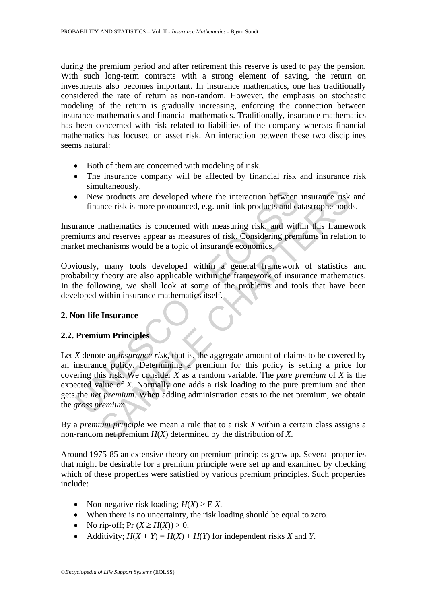during the premium period and after retirement this reserve is used to pay the pension. With such long-term contracts with a strong element of saving, the return on investments also becomes important. In insurance mathematics, one has traditionally considered the rate of return as non-random. However, the emphasis on stochastic modeling of the return is gradually increasing, enforcing the connection between insurance mathematics and financial mathematics. Traditionally, insurance mathematics has been concerned with risk related to liabilities of the company whereas financial mathematics has focused on asset risk. An interaction between these two disciplines seems natural:

- Both of them are concerned with modeling of risk.
- The insurance company will be affected by financial risk and insurance risk simultaneously.
- New products are developed where the interaction between insurance risk and finance risk is more pronounced, e.g. unit link products and catastrophe bonds.

Insurance mathematics is concerned with measuring risk, and within this framework premiums and reserves appear as measures of risk. Considering premiums in relation to market mechanisms would be a topic of insurance economics.

Obviously, many tools developed within a general framework of statistics and probability theory are also applicable within the framework of insurance mathematics. In the following, we shall look at some of the problems and tools that have been developed within insurance mathematics itself.

# **2. Non-life Insurance**

### **2.2. Premium Principles**

New products are developed where the interaction between<br>
finance risk is more pronounced, e.g. unit link products and ca<br>
rance mathematics is concerned with measuring risk, and with<br>
miums and reserves appear as measure A products are developed where the interaction between insurance risk<br>uncerection are result in the products and catastrophe bond<br>mathematics is concerned with measuring risk, and within this framew<br>and reserves appear as Let *X* denote an *insurance risk*, that is, the aggregate amount of claims to be covered by an insurance policy. Determining a premium for this policy is setting a price for covering this risk. We consider *X* as a random variable. The *pure premium* of *X* is the expected value of *X*. Normally one adds a risk loading to the pure premium and then gets the *net premium*. When adding administration costs to the net premium, we obtain the *gross premium*.

By a *premium principle* we mean a rule that to a risk *X* within a certain class assigns a non-random net premium *H*(*X*) determined by the distribution of *X*.

Around 1975-85 an extensive theory on premium principles grew up. Several properties that might be desirable for a premium principle were set up and examined by checking which of these properties were satisfied by various premium principles. Such properties include:

- Non-negative risk loading;  $H(X) \geq E X$ .
- When there is no uncertainty, the risk loading should be equal to zero.
- No rip-off; Pr  $(X \ge H(X)) > 0$ .
- Additivity;  $H(X + Y) = H(X) + H(Y)$  for independent risks *X* and *Y*.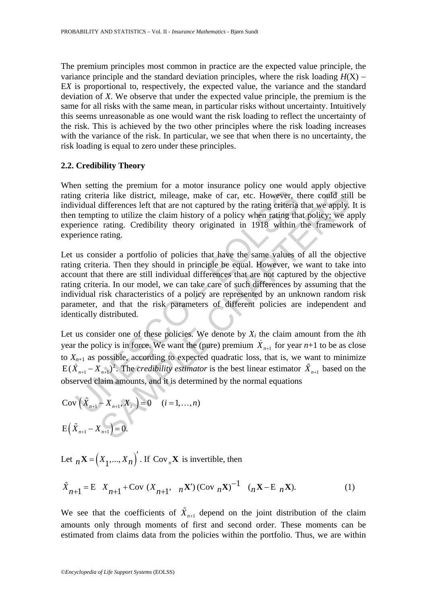The premium principles most common in practice are the expected value principle, the variance principle and the standard deviation principles, where the risk loading *H*(X) − E*X* is proportional to, respectively, the expected value, the variance and the standard deviation of *X*. We observe that under the expected value principle, the premium is the same for all risks with the same mean, in particular risks without uncertainty. Intuitively this seems unreasonable as one would want the risk loading to reflect the uncertainty of the risk. This is achieved by the two other principles where the risk loading increases with the variance of the risk. In particular, we see that when there is no uncertainty, the risk loading is equal to zero under these principles.

#### **2.2. Credibility Theory**

When setting the premium for a motor insurance policy one would apply objective rating criteria like district, mileage, make of car, etc. However, there could still be individual differences left that are not captured by the rating criteria that we apply. It is then tempting to utilize the claim history of a policy when rating that policy; we apply experience rating. Credibility theory originated in 1918 within the framework of experience rating.

gg criteria like district, mileage, make of car, etc. However, the vidual differences left that are not captured by the rating criteria tempting to utilize the claim history of a policy when rating that intempting to util Early and partitular is a musto mattern burst point of the prior order particular form is the district, mileage, make of car, etc. However, there could still differences left that are not captured by the rating criteria t Let us consider a portfolio of policies that have the same values of all the objective rating criteria. Then they should in principle be equal. However, we want to take into account that there are still individual differences that are not captured by the objective rating criteria. In our model, we can take care of such differences by assuming that the individual risk characteristics of a policy are represented by an unknown random risk parameter, and that the risk parameters of different policies are independent and identically distributed.

Let us consider one of these policies. We denote by  $X_i$  the claim amount from the *i*th year the policy is in force. We want the (pure) premium  $\dot{X}_{n+1}$  for year  $n+1$  to be as close to  $X_{n+1}$  as possible, according to expected quadratic loss, that is, we want to minimize  $E(\dot{X}_{n+1} - \dot{X}_{n+1})^2$ . The *credibility estimator* is the best linear estimator  $\tilde{X}_{n+1}$  based on the observed claim amounts, and it is determined by the normal equations

Cov 
$$
(\tilde{X}_{n+1} - X_{n+1}, X_i) = 0
$$
  $(i = 1,...,n)$   
E  $(\tilde{X}_{n+1} - X_{n+1}) = 0$ .

Let  $_n \mathbf{X} = (X_1, ..., X_n)$ . If Cov  $_n \mathbf{X}$  is invertible, then

$$
\tilde{X}_{n+1} = E \, X_{n+1} + \text{Cov} \, (X_{n+1}, \, n\mathbf{X}') \, (\text{Cov} \, n\mathbf{X})^{-1} \, (\, n\mathbf{X} - \mathbf{E} \, n\mathbf{X}). \tag{1}
$$

We see that the coefficients of  $\tilde{X}_{n+1}$  depend on the joint distribution of the claim amounts only through moments of first and second order. These moments can be estimated from claims data from the policies within the portfolio. Thus, we are within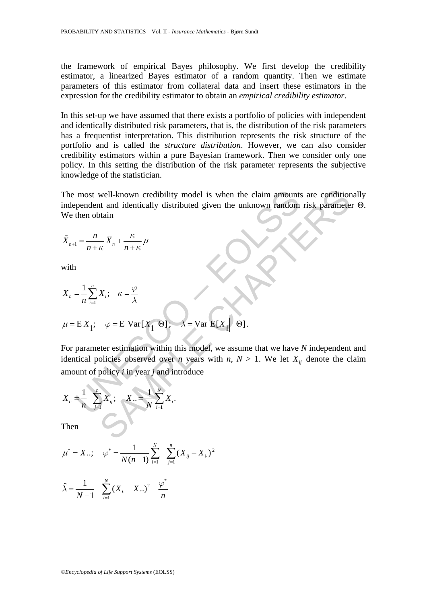the framework of empirical Bayes philosophy. We first develop the credibility estimator, a linearized Bayes estimator of a random quantity. Then we estimate parameters of this estimator from collateral data and insert these estimators in the expression for the credibility estimator to obtain an *empirical credibility estimator*.

In this set-up we have assumed that there exists a portfolio of policies with independent and identically distributed risk parameters, that is, the distribution of the risk parameters has a frequentist interpretation. This distribution represents the risk structure of the portfolio and is called the *structure distribution*. However, we can also consider credibility estimators within a pure Bayesian framework. Then we consider only one policy. In this setting the distribution of the risk parameter represents the subjective knowledge of the statistician.

The most well-known credibility model is when the claim amounts are conditionally independent and identically distributed given the unknown random risk parameter Θ. We then obtain

$$
\tilde{X}_{n+1} = \frac{n}{n+\kappa} \overline{X}_n + \frac{\kappa}{n+\kappa} \mu
$$

with

The most well-known credibility model is when the claim amounts are condition  
independent and identically distributed given the unknown random risk parameter  
We then obtain  

$$
\tilde{X}_{n+1} = \frac{n}{n+k} \overline{X}_n + \frac{\kappa}{n+k} \mu
$$
with  

$$
\overline{X}_n = \frac{1}{n} \sum_{i=1}^n X_i; \quad \kappa = \frac{\varphi}{\lambda}
$$

$$
\mu = E X_1; \quad \varphi = E \text{ Var}[X_1 | \Theta]; \quad \lambda = \text{Var } E[X_1 | \Theta].
$$
  
For parameter estimation within this model, we assume that we have *N* independent  
identical policies observed over *n* years with *n*, *N* > 1. We let  $X_{ij}$  denote the cl  
amount of policy *i* in year *j* and introduce  

$$
X_i = \frac{1}{n} \sum_{j=1}^n X_{ij}; \quad X_{i} = \frac{1}{N} \sum_{i=1}^N X_i.
$$
  
Then

For parameter estimation within this model, we assume that we have *N* independent and identical policies observed over *n* years with *n*,  $N > 1$ . We let  $X_{ij}$  denote the claim amount of policy *i* in year *j* and introduce

$$
X_{i.} = \frac{1}{n} \sum_{j=1}^{n} X_{ij}; \quad X_{..} = \frac{1}{N} \sum_{i=1}^{N} X_{i}.
$$

Then

$$
\mu^* = X \dots
$$
;  $\varphi^* = \frac{1}{N(n-1)} \sum_{i=1}^N \sum_{j=1}^n (X_{ij} - X_{i.})^2$ 

$$
\hat{\lambda} = \frac{1}{N-1} \sum_{i=1}^{N} (X_{i} - X_{i})^{2} - \frac{\varphi^{*}}{n}
$$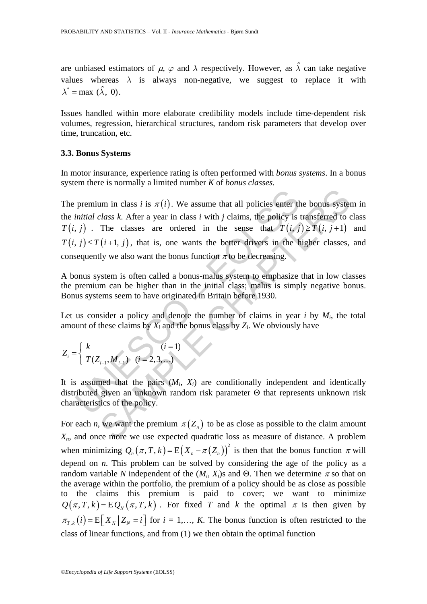are unbiased estimators of  $\mu$ ,  $\varphi$  and  $\lambda$  respectively. However, as  $\hat{\lambda}$  can take negative values whereas  $\lambda$  is always non-negative, we suggest to replace it with  $\lambda^* = \max (\hat{\lambda}, 0)$ .

Issues handled within more elaborate credibility models include time-dependent risk volumes, regression, hierarchical structures, random risk parameters that develop over time, truncation, etc.

#### **3.3. Bonus Systems**

In motor insurance, experience rating is often performed with *bonus systems*. In a bonus system there is normally a limited number *K* of *bonus classes*.

premium in class *i* is  $\pi(i)$ . We assume that all policies enter th<br>initial class *k*. After a year in class *i* with *j* claims, the policy is<br> $j$ . The classes are ordered in the sense that  $T(i, j, j) \leq T(i+1, j)$ , that is, um in class *i* is  $\pi(i)$ . We assume that all policies enter the bonus syster<br>class *k*. After a year in class *i* with *j* claims, the policy is transferred to c<br>The classes are ordered in the sense that  $T(i, j) \geq T(i, j + 1$ The premium in class *i* is  $\pi(i)$ . We assume that all policies enter the bonus system in the *initial class k*. After a year in class *i* with *j* claims, the policy is transferred to class  $T(i, j)$ . The classes are ordered in the sense that  $T(i, j) \geq T(i, j+1)$  and  $T(i, j) \leq T(i+1, j)$ , that is, one wants the better drivers in the higher classes, and consequently we also want the bonus function  $\pi$  to be decreasing.

A bonus system is often called a bonus-malus system to emphasize that in low classes the premium can be higher than in the initial class; malus is simply negative bonus. Bonus systems seem to have originated in Britain before 1930.

Let us consider a policy and denote the number of claims in year  $i$  by  $M_i$ , the total amount of these claims by  $X_i$  and the bonus class by  $Z_i$ . We obviously have

$$
Z_i = \begin{cases} k & (i = 1) \\ T(Z_{i-1}, M_{i-1}) & (i = 2, 3, ...) \end{cases}
$$

It is assumed that the pairs  $(M_i, X_i)$  are conditionally independent and identically distributed given an unknown random risk parameter Θ that represents unknown risk characteristics of the policy.

For each *n*, we want the premium  $\pi(Z_n)$  to be as close as possible to the claim amount *Xn*, and once more we use expected quadratic loss as measure of distance. A problem when minimizing  $Q_n(\pi, T, k) = E(X_n - \pi(Z_n))^2$  is then that the bonus function  $\pi$  will depend on *n*. This problem can be solved by considering the age of the policy as a random variable *N* independent of the  $(M_i, X_i)$ s and Θ. Then we determine  $\pi$  so that on the average within the portfolio, the premium of a policy should be as close as possible to the claims this premium is paid to cover; we want to minimize  $Q(\pi, T, k) = EQ_N(\pi, T, k)$ . For fixed *T* and *k* the optimal  $\pi$  is then given by  $\pi_{T,k}(i) = E[X_N | Z_N = i]$  for  $i = 1,..., K$ . The bonus function is often restricted to the class of linear functions, and from (1) we then obtain the optimal function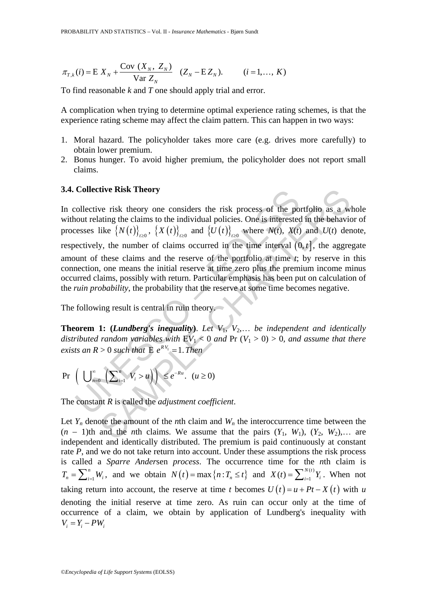$$
\pi_{T,k}(i) = E X_N + \frac{\text{Cov}(X_N, Z_N)}{\text{Var } Z_N} \quad (Z_N - E Z_N). \quad (i = 1, ..., K)
$$

To find reasonable *k* and *T* one should apply trial and error.

A complication when trying to determine optimal experience rating schemes, is that the experience rating scheme may affect the claim pattern. This can happen in two ways:

- 1. Moral hazard. The policyholder takes more care (e.g. drives more carefully) to obtain lower premium.
- 2. Bonus hunger. To avoid higher premium, the policyholder does not report small claims.

#### **3.4. Collective Risk Theory**

**Collective Kisk Theory**<br>
collective risk theory one considers the risk process of the po<br>
collective risk theory one considers the risk process of the po<br>
collectively, the number of claims occurred in the time interval tive Risk Theory<br>
we risk theory one considers the risk process of the portfolio as a w<br>
ating the claims to the individual policies. One is interested in the behavior<br>
like  $\{N(t)\}_{t\geq0}$ ,  $\{X(t)\}_{t\geq0}$  and  $\{U(t)\}_{t\geq0$ In collective risk theory one considers the risk process of the portfolio as a whole without relating the claims to the individual policies. One is interested in the behavior of processes like  $\{N(t)\}_{t\geq0}$ ,  $\{X(t)\}_{t\geq0}$  and  $\{U(t)\}_{t\geq0}$  where  $N(t)$ ,  $X(t)$  and  $U(t)$  denote, respectively, the number of claims occurred in the time interval  $(0, t]$ , the aggregate amount of these claims and the reserve of the portfolio at time *t*; by reserve in this connection, one means the initial reserve at time zero plus the premium income minus occurred claims, possibly with return. Particular emphasis has been put on calculation of the *ruin probability*, the probability that the reserve at some time becomes negative.

The following result is central in ruin theory.

**Theorem 1: (***Lundberg's inequality***)**. *Let V*1, *V*2,… *be independent and identically distributed random variables with*  $EV_1 < 0$  *and*  $Pr (V_1 > 0) > 0$ *, and assume that there exists an R > 0 such that*  $E e^{RV_1} = 1$ . *Then* 

$$
\Pr\left(\bigcup_{n=0}^{\infty}\left(\sum_{i=1}^{n}V_{i}>u\right)\right)\leq e^{-Ru}.\ \ (u\geq 0)
$$

The constant *R* is called the *adjustment coefficient*.

Let  $Y_n$  denote the amount of the *n*th claim and  $W_n$  the interoccurrence time between the  $(n - 1)$ th and the *n*th claims. We assume that the pairs  $(Y_1, W_1)$ ,  $(Y_2, W_2)$ ,… are independent and identically distributed. The premium is paid continuously at constant rate *P*, and we do not take return into account. Under these assumptions the risk process is called a *Sparre Ander*sen *process*. The occurrence time for the *n*th claim is  $T_n = \sum_{i=1}^n W_i$ , and we obtain  $N(t) = \max\{n : T_n \le t\}$  and  $X(t) = \sum_{i=1}^{N(t)} Y_i$ . When not taking return into account, the reserve at time *t* becomes  $U(t) = u + Pt - X(t)$  with *u* denoting the initial reserve at time zero. As ruin can occur only at the time of occurrence of a claim, we obtain by application of Lundberg's inequality with  $V_i = Y_i - PW_i$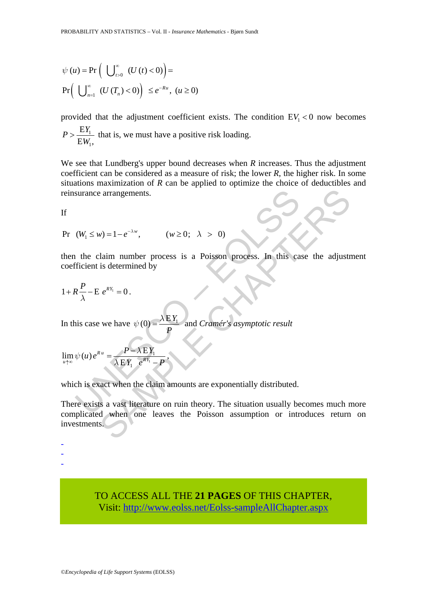$$
\psi(u) = \Pr\left(\bigcup_{t>0}^{\infty} (U(t) < 0)\right) =
$$
\n
$$
\Pr\left(\bigcup_{n=1}^{\infty} (U(T_n) < 0)\right) \leq e^{-Ru}, \ (u \geq 0)
$$

provided that the adjustment coefficient exists. The condition  $EV_1 < 0$  now becomes

$$
P > \frac{EY_1}{EW_1}
$$
, that is, we must have a positive risk loading.

We see that Lundberg's upper bound decreases when *R* increases. Thus the adjustment coefficient can be considered as a measure of risk; the lower *R*, the higher risk. In some situations maximization of *R* can be applied to optimize the choice of deductibles and reinsurance arrangements.

If

 $Pr(W_1 \leq w) = 1 - e^{-\lambda w}, \qquad (w \geq 0; \lambda > 0)$ 

surance arrangements.<br>  $(W_1 \le w) = 1 - e^{-\lambda w}$ ,  $(w \ge 0; \lambda > 0)$ <br>
the claim number process is a Poisson process. In this carrier is determined by<br>  $R\frac{P}{\lambda} - E e^{RY_1} = 0$ .<br>
is case we have  $\psi(0) = \frac{\lambda EY_1}{P}$  and *Cramér's asym* then the claim number process is a Poisson process. In this case the adjustment coefficient is determined by

$$
1+R\frac{P}{\lambda}-E\ e^{RY_1}=0\ .
$$

In this case we have  $\psi(0) = \frac{\lambda E Y_1}{2E}$  $P$  and *Cramér's asymptotic result* 

$$
\lim_{u \uparrow \infty} \psi(u) e^{Ru} = \frac{P - \lambda E Y_1}{\lambda E Y_1 e^{RY_1} - P},
$$

which is exact when the claim amounts are exponentially distributed.

e arrangements.<br>  $v = 1 - e^{-\lambda w}$ ,  $(w \ge 0; \lambda > 0)$ <br>
Ilaim number process is a Poisson process. In this case the adjust<br>
is determined by<br>  $e^{Rx} = 0$ .<br>
we have  $\psi(0) = \frac{\lambda EY_1}{P}$  and *Cramér's asymptotic result*<br>  $e^{ax} = \frac{P - \$ There exists a vast literature on ruin theory. The situation usually becomes much more complicated when one leaves the Poisson assumption or introduces return on investments.

-

- -

> TO ACCESS ALL THE **21 PAGES** OF THIS CHAPTER, Visit[: http://www.eolss.net/Eolss-sampleAllChapter.aspx](https://www.eolss.net/ebooklib/sc_cart.aspx?File=E6-02-03-02)